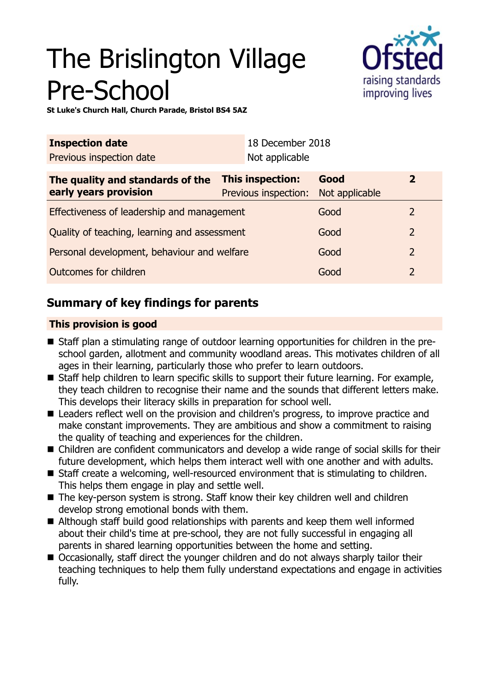# The Brislington Village Pre-School



**St Luke's Church Hall, Church Parade, Bristol BS4 5AZ**

| <b>Inspection date</b>                                    |                                          | 18 December 2018 |                        |                |
|-----------------------------------------------------------|------------------------------------------|------------------|------------------------|----------------|
| Previous inspection date                                  |                                          | Not applicable   |                        |                |
| The quality and standards of the<br>early years provision | This inspection:<br>Previous inspection: |                  | Good<br>Not applicable | $\overline{2}$ |
| Effectiveness of leadership and management                |                                          |                  | Good                   | 2              |
| Quality of teaching, learning and assessment              |                                          |                  | Good                   | 2              |
| Personal development, behaviour and welfare               |                                          |                  | Good                   | 2              |
| Outcomes for children                                     |                                          |                  | Good                   | $\overline{2}$ |

## **Summary of key findings for parents**

## **This provision is good**

- Staff plan a stimulating range of outdoor learning opportunities for children in the preschool garden, allotment and community woodland areas. This motivates children of all ages in their learning, particularly those who prefer to learn outdoors.
- Staff help children to learn specific skills to support their future learning. For example, they teach children to recognise their name and the sounds that different letters make. This develops their literacy skills in preparation for school well.
- Leaders reflect well on the provision and children's progress, to improve practice and make constant improvements. They are ambitious and show a commitment to raising the quality of teaching and experiences for the children.
- Children are confident communicators and develop a wide range of social skills for their future development, which helps them interact well with one another and with adults.
- $\blacksquare$  Staff create a welcoming, well-resourced environment that is stimulating to children. This helps them engage in play and settle well.
- $\blacksquare$  The key-person system is strong. Staff know their key children well and children develop strong emotional bonds with them.
- Although staff build good relationships with parents and keep them well informed about their child's time at pre-school, they are not fully successful in engaging all parents in shared learning opportunities between the home and setting.
- Occasionally, staff direct the younger children and do not always sharply tailor their teaching techniques to help them fully understand expectations and engage in activities fully.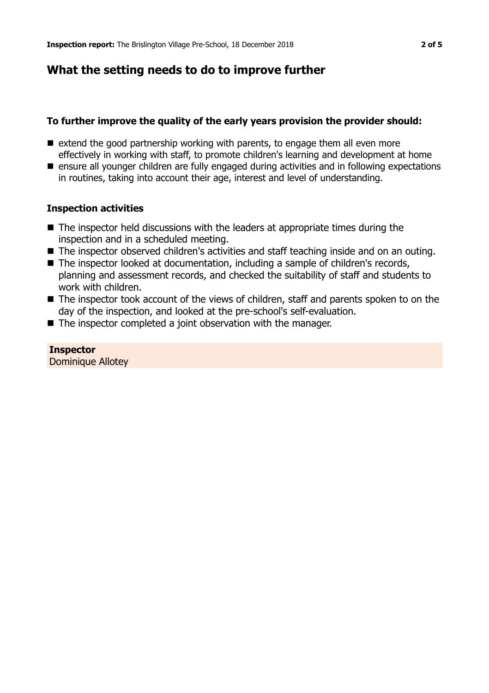## **What the setting needs to do to improve further**

## **To further improve the quality of the early years provision the provider should:**

- $\blacksquare$  extend the good partnership working with parents, to engage them all even more effectively in working with staff, to promote children's learning and development at home
- ensure all younger children are fully engaged during activities and in following expectations in routines, taking into account their age, interest and level of understanding.

## **Inspection activities**

- $\blacksquare$  The inspector held discussions with the leaders at appropriate times during the inspection and in a scheduled meeting.
- The inspector observed children's activities and staff teaching inside and on an outing.
- The inspector looked at documentation, including a sample of children's records, planning and assessment records, and checked the suitability of staff and students to work with children.
- $\blacksquare$  The inspector took account of the views of children, staff and parents spoken to on the day of the inspection, and looked at the pre-school's self-evaluation.
- The inspector completed a joint observation with the manager.

#### **Inspector**

Dominique Allotey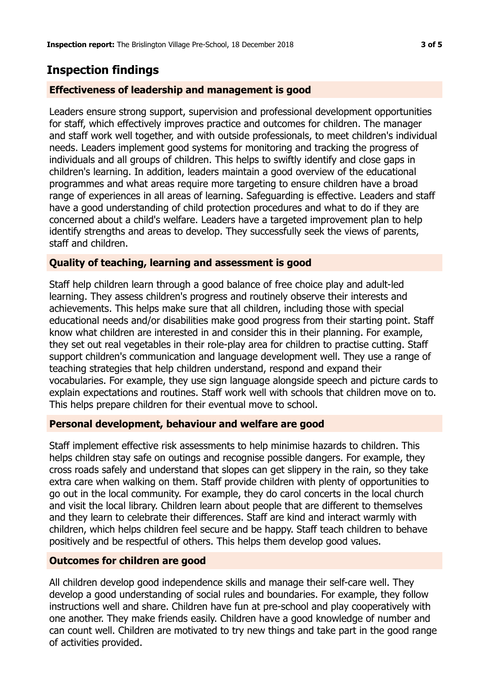## **Inspection findings**

## **Effectiveness of leadership and management is good**

Leaders ensure strong support, supervision and professional development opportunities for staff, which effectively improves practice and outcomes for children. The manager and staff work well together, and with outside professionals, to meet children's individual needs. Leaders implement good systems for monitoring and tracking the progress of individuals and all groups of children. This helps to swiftly identify and close gaps in children's learning. In addition, leaders maintain a good overview of the educational programmes and what areas require more targeting to ensure children have a broad range of experiences in all areas of learning. Safeguarding is effective. Leaders and staff have a good understanding of child protection procedures and what to do if they are concerned about a child's welfare. Leaders have a targeted improvement plan to help identify strengths and areas to develop. They successfully seek the views of parents, staff and children.

## **Quality of teaching, learning and assessment is good**

Staff help children learn through a good balance of free choice play and adult-led learning. They assess children's progress and routinely observe their interests and achievements. This helps make sure that all children, including those with special educational needs and/or disabilities make good progress from their starting point. Staff know what children are interested in and consider this in their planning. For example, they set out real vegetables in their role-play area for children to practise cutting. Staff support children's communication and language development well. They use a range of teaching strategies that help children understand, respond and expand their vocabularies. For example, they use sign language alongside speech and picture cards to explain expectations and routines. Staff work well with schools that children move on to. This helps prepare children for their eventual move to school.

#### **Personal development, behaviour and welfare are good**

Staff implement effective risk assessments to help minimise hazards to children. This helps children stay safe on outings and recognise possible dangers. For example, they cross roads safely and understand that slopes can get slippery in the rain, so they take extra care when walking on them. Staff provide children with plenty of opportunities to go out in the local community. For example, they do carol concerts in the local church and visit the local library. Children learn about people that are different to themselves and they learn to celebrate their differences. Staff are kind and interact warmly with children, which helps children feel secure and be happy. Staff teach children to behave positively and be respectful of others. This helps them develop good values.

#### **Outcomes for children are good**

All children develop good independence skills and manage their self-care well. They develop a good understanding of social rules and boundaries. For example, they follow instructions well and share. Children have fun at pre-school and play cooperatively with one another. They make friends easily. Children have a good knowledge of number and can count well. Children are motivated to try new things and take part in the good range of activities provided.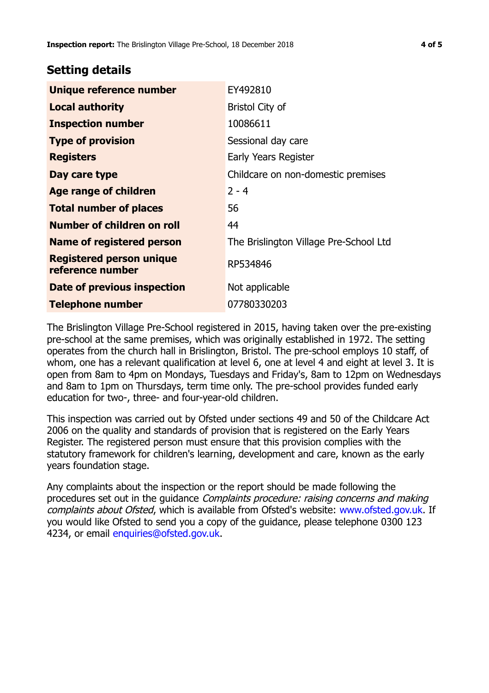## **Setting details**

| EY492810                               |  |
|----------------------------------------|--|
| <b>Bristol City of</b>                 |  |
| 10086611                               |  |
| Sessional day care                     |  |
| Early Years Register                   |  |
| Childcare on non-domestic premises     |  |
| $2 - 4$                                |  |
| 56                                     |  |
| 44                                     |  |
| The Brislington Village Pre-School Ltd |  |
| RP534846                               |  |
| Not applicable                         |  |
| 07780330203                            |  |
|                                        |  |

The Brislington Village Pre-School registered in 2015, having taken over the pre-existing pre-school at the same premises, which was originally established in 1972. The setting operates from the church hall in Brislington, Bristol. The pre-school employs 10 staff, of whom, one has a relevant qualification at level 6, one at level 4 and eight at level 3. It is open from 8am to 4pm on Mondays, Tuesdays and Friday's, 8am to 12pm on Wednesdays and 8am to 1pm on Thursdays, term time only. The pre-school provides funded early education for two-, three- and four-year-old children.

This inspection was carried out by Ofsted under sections 49 and 50 of the Childcare Act 2006 on the quality and standards of provision that is registered on the Early Years Register. The registered person must ensure that this provision complies with the statutory framework for children's learning, development and care, known as the early years foundation stage.

Any complaints about the inspection or the report should be made following the procedures set out in the guidance Complaints procedure: raising concerns and making complaints about Ofsted, which is available from Ofsted's website: www.ofsted.gov.uk. If you would like Ofsted to send you a copy of the guidance, please telephone 0300 123 4234, or email [enquiries@ofsted.gov.uk.](mailto:enquiries@ofsted.gov.uk)